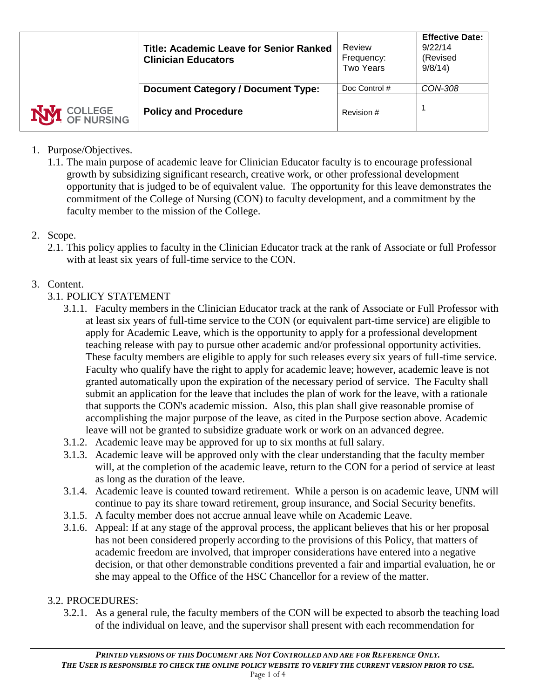|                       | <b>Title: Academic Leave for Senior Ranked</b><br><b>Clinician Educators</b> | Review<br>Frequency:<br><b>Two Years</b> | <b>Effective Date:</b><br>9/22/14<br>(Revised<br>9/8/14 |
|-----------------------|------------------------------------------------------------------------------|------------------------------------------|---------------------------------------------------------|
|                       | <b>Document Category / Document Type:</b>                                    | Doc Control #                            | CON-308                                                 |
| OCLLEGE<br>OF NURSING | <b>Policy and Procedure</b>                                                  | Revision #                               |                                                         |

- 1. Purpose/Objectives.
	- 1.1. The main purpose of academic leave for Clinician Educator faculty is to encourage professional growth by subsidizing significant research, creative work, or other professional development opportunity that is judged to be of equivalent value. The opportunity for this leave demonstrates the commitment of the College of Nursing (CON) to faculty development, and a commitment by the faculty member to the mission of the College.
- 2. Scope.
	- 2.1. This policy applies to faculty in the Clinician Educator track at the rank of Associate or full Professor with at least six years of full-time service to the CON.

# 3. Content.

## 3.1. POLICY STATEMENT

- 3.1.1. Faculty members in the Clinician Educator track at the rank of Associate or Full Professor with at least six years of full-time service to the CON (or equivalent part-time service) are eligible to apply for Academic Leave, which is the opportunity to apply for a professional development teaching release with pay to pursue other academic and/or professional opportunity activities. These faculty members are eligible to apply for such releases every six years of full-time service. Faculty who qualify have the right to apply for academic leave; however, academic leave is not granted automatically upon the expiration of the necessary period of service. The Faculty shall submit an application for the leave that includes the plan of work for the leave, with a rationale that supports the CON's academic mission. Also, this plan shall give reasonable promise of accomplishing the major purpose of the leave, as cited in the Purpose section above. Academic leave will not be granted to subsidize graduate work or work on an advanced degree.
- 3.1.2. Academic leave may be approved for up to six months at full salary.
- 3.1.3. Academic leave will be approved only with the clear understanding that the faculty member will, at the completion of the academic leave, return to the CON for a period of service at least as long as the duration of the leave.
- 3.1.4. Academic leave is counted toward retirement. While a person is on academic leave, UNM will continue to pay its share toward retirement, group insurance, and Social Security benefits.
- 3.1.5. A faculty member does not accrue annual leave while on Academic Leave.
- 3.1.6. Appeal: If at any stage of the approval process, the applicant believes that his or her proposal has not been considered properly according to the provisions of this Policy, that matters of academic freedom are involved, that improper considerations have entered into a negative decision, or that other demonstrable conditions prevented a fair and impartial evaluation, he or she may appeal to the Office of the HSC Chancellor for a review of the matter.

## 3.2. PROCEDURES:

3.2.1. As a general rule, the faculty members of the CON will be expected to absorb the teaching load of the individual on leave, and the supervisor shall present with each recommendation for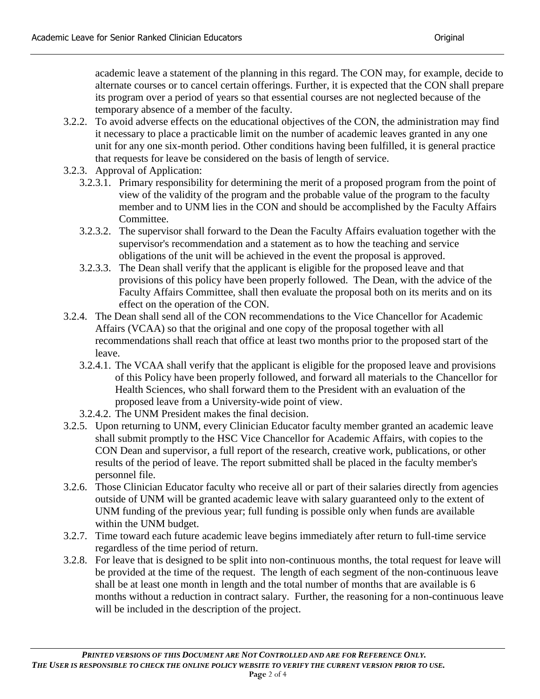academic leave a statement of the planning in this regard. The CON may, for example, decide to alternate courses or to cancel certain offerings. Further, it is expected that the CON shall prepare its program over a period of years so that essential courses are not neglected because of the temporary absence of a member of the faculty.

- 3.2.2. To avoid adverse effects on the educational objectives of the CON, the administration may find it necessary to place a practicable limit on the number of academic leaves granted in any one unit for any one six-month period. Other conditions having been fulfilled, it is general practice that requests for leave be considered on the basis of length of service.
- 3.2.3. Approval of Application:
	- 3.2.3.1. Primary responsibility for determining the merit of a proposed program from the point of view of the validity of the program and the probable value of the program to the faculty member and to UNM lies in the CON and should be accomplished by the Faculty Affairs Committee.
	- 3.2.3.2. The supervisor shall forward to the Dean the Faculty Affairs evaluation together with the supervisor's recommendation and a statement as to how the teaching and service obligations of the unit will be achieved in the event the proposal is approved.
	- 3.2.3.3. The Dean shall verify that the applicant is eligible for the proposed leave and that provisions of this policy have been properly followed. The Dean, with the advice of the Faculty Affairs Committee, shall then evaluate the proposal both on its merits and on its effect on the operation of the CON.
- 3.2.4. The Dean shall send all of the CON recommendations to the Vice Chancellor for Academic Affairs (VCAA) so that the original and one copy of the proposal together with all recommendations shall reach that office at least two months prior to the proposed start of the leave.
	- 3.2.4.1. The VCAA shall verify that the applicant is eligible for the proposed leave and provisions of this Policy have been properly followed, and forward all materials to the Chancellor for Health Sciences, who shall forward them to the President with an evaluation of the proposed leave from a University-wide point of view.
	- 3.2.4.2. The UNM President makes the final decision.
- 3.2.5. Upon returning to UNM, every Clinician Educator faculty member granted an academic leave shall submit promptly to the HSC Vice Chancellor for Academic Affairs, with copies to the CON Dean and supervisor, a full report of the research, creative work, publications, or other results of the period of leave. The report submitted shall be placed in the faculty member's personnel file.
- 3.2.6. Those Clinician Educator faculty who receive all or part of their salaries directly from agencies outside of UNM will be granted academic leave with salary guaranteed only to the extent of UNM funding of the previous year; full funding is possible only when funds are available within the UNM budget.
- 3.2.7. Time toward each future academic leave begins immediately after return to full-time service regardless of the time period of return.
- 3.2.8. For leave that is designed to be split into non-continuous months, the total request for leave will be provided at the time of the request. The length of each segment of the non-continuous leave shall be at least one month in length and the total number of months that are available is 6 months without a reduction in contract salary. Further, the reasoning for a non-continuous leave will be included in the description of the project.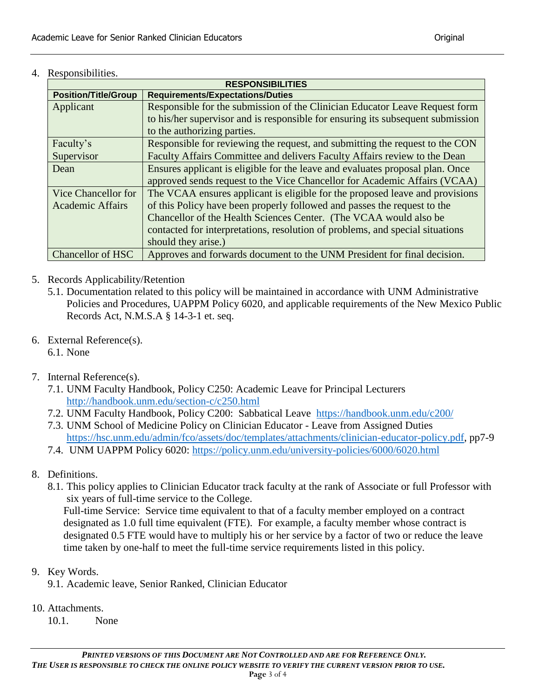4. Responsibilities.

| <b>RESPONSIBILITIES</b>     |                                                                                 |  |  |  |
|-----------------------------|---------------------------------------------------------------------------------|--|--|--|
| <b>Position/Title/Group</b> | <b>Requirements/Expectations/Duties</b>                                         |  |  |  |
| Applicant                   | Responsible for the submission of the Clinician Educator Leave Request form     |  |  |  |
|                             | to his/her supervisor and is responsible for ensuring its subsequent submission |  |  |  |
|                             | to the authorizing parties.                                                     |  |  |  |
| Faculty's                   | Responsible for reviewing the request, and submitting the request to the CON    |  |  |  |
| Supervisor                  | Faculty Affairs Committee and delivers Faculty Affairs review to the Dean       |  |  |  |
| Dean                        | Ensures applicant is eligible for the leave and evaluates proposal plan. Once   |  |  |  |
|                             | approved sends request to the Vice Chancellor for Academic Affairs (VCAA)       |  |  |  |
| Vice Chancellor for         | The VCAA ensures applicant is eligible for the proposed leave and provisions    |  |  |  |
| <b>Academic Affairs</b>     | of this Policy have been properly followed and passes the request to the        |  |  |  |
|                             | Chancellor of the Health Sciences Center. (The VCAA would also be               |  |  |  |
|                             | contacted for interpretations, resolution of problems, and special situations   |  |  |  |
|                             | should they arise.)                                                             |  |  |  |
| <b>Chancellor of HSC</b>    | Approves and forwards document to the UNM President for final decision.         |  |  |  |
|                             |                                                                                 |  |  |  |

- 5. Records Applicability/Retention
	- 5.1. Documentation related to this policy will be maintained in accordance with UNM Administrative Policies and Procedures, UAPPM Policy 6020, and applicable requirements of the New Mexico Public Records Act, N.M.S.A § 14-3-1 et. seq.
- 6. External Reference(s). 6.1. None
	-
- 7. Internal Reference(s).
	- 7.1. UNM Faculty Handbook, Policy C250: Academic Leave for Principal Lecturers <http://handbook.unm.edu/section-c/c250.html>
	- 7.2. UNM Faculty Handbook, Policy C200: Sabbatical Leave <https://handbook.unm.edu/c200/>
	- 7.3. UNM School of Medicine Policy on Clinician Educator Leave from Assigned Duties [https://hsc.unm.edu/admin/fco/assets/doc/templates/attachments/clinician-educator-policy.pdf,](https://hsc.unm.edu/admin/fco/assets/doc/templates/attachments/clinician-educator-policy.pdf) pp7-9
	- 7.4. UNM UAPPM Policy 6020:<https://policy.unm.edu/university-policies/6000/6020.html>
- 8. Definitions.
	- 8.1. This policy applies to Clinician Educator track faculty at the rank of Associate or full Professor with six years of full-time service to the College.

Full-time Service: Service time equivalent to that of a faculty member employed on a contract designated as 1.0 full time equivalent (FTE). For example, a faculty member whose contract is designated 0.5 FTE would have to multiply his or her service by a factor of two or reduce the leave time taken by one-half to meet the full-time service requirements listed in this policy.

- 9. Key Words.
	- 9.1. Academic leave, Senior Ranked, Clinician Educator
- 10. Attachments.
	- 10.1. None